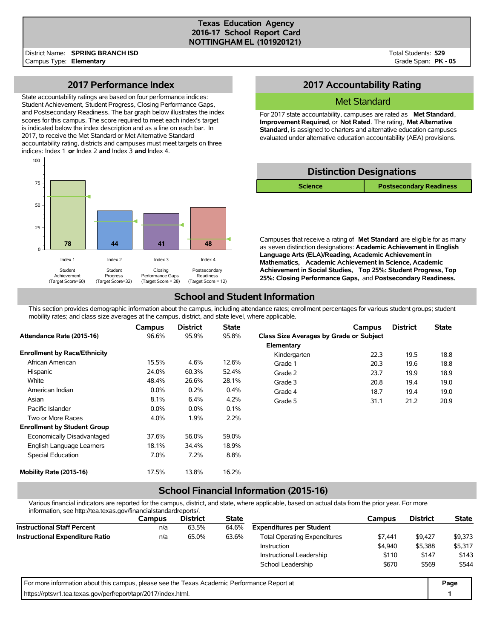#### **Texas Education Agency 2016-17 School Report Card NOTTINGHAM EL (101920121)**

Total Students: **529** Grade Span: **PK - 05**

### **2017 Performance Index**

State accountability ratings are based on four performance indices: Student Achievement, Student Progress, Closing Performance Gaps, and Postsecondary Readiness. The bar graph below illustrates the index scores for this campus. The score required to meet each index's target is indicated below the index description and as a line on each bar. In 2017, to receive the Met Standard or Met Alternative Standard accountability rating, districts and campuses must meet targets on three indices: Index 1 **or** Index 2 **and** Index 3 **and** Index 4.



# **2017 Accountability Rating**

#### Met Standard

For 2017 state accountability, campuses are rated as **Met Standard**, **Improvement Required**, or **Not Rated**. The rating, **Met Alternative Standard**, is assigned to charters and alternative education campuses evaluated under alternative education accountability (AEA) provisions.

| <b>Distinction Designations</b> |                                |  |  |  |  |  |  |
|---------------------------------|--------------------------------|--|--|--|--|--|--|
| <b>Science</b>                  | <b>Postsecondary Readiness</b> |  |  |  |  |  |  |

Campuses that receive a rating of **Met Standard** are eligible for as many as seven distinction designations: **Academic Achievement in English Language Arts (ELA)/Reading, Academic Achievement in Mathematics, Academic Achievement in Science, Academic Achievement in Social Studies, Top 25%: Student Progress, Top 25%: Closing Performance Gaps,** and **Postsecondary Readiness.**

## **School and Student Information**

This section provides demographic information about the campus, including attendance rates; enrollment percentages for various student groups; student mobility rates; and class size averages at the campus, district, and state level, where applicable.

|                                     | Campus  | <b>District</b> | <b>State</b> |                                         | Campus | <b>District</b> | <b>State</b> |
|-------------------------------------|---------|-----------------|--------------|-----------------------------------------|--------|-----------------|--------------|
| Attendance Rate (2015-16)           | 96.6%   | 95.9%           | 95.8%        | Class Size Averages by Grade or Subject |        |                 |              |
|                                     |         |                 |              | Elementary                              |        |                 |              |
| <b>Enrollment by Race/Ethnicity</b> |         |                 |              | Kindergarten                            | 22.3   | 19.5            | 18.8         |
| African American                    | 15.5%   | 4.6%            | 12.6%        | Grade 1                                 | 20.3   | 19.6            | 18.8         |
| Hispanic                            | 24.0%   | 60.3%           | 52.4%        | Grade 2                                 | 23.7   | 19.9            | 18.9         |
| White                               | 48.4%   | 26.6%           | 28.1%        | Grade 3                                 | 20.8   | 19.4            | 19.0         |
| American Indian                     | $0.0\%$ | 0.2%            | 0.4%         | Grade 4                                 | 18.7   | 19.4            | 19.0         |
| Asian                               | 8.1%    | 6.4%            | 4.2%         | Grade 5                                 | 31.1   | 21.2            | 20.9         |
| Pacific Islander                    | $0.0\%$ | $0.0\%$         | 0.1%         |                                         |        |                 |              |
| Two or More Races                   | 4.0%    | 1.9%            | 2.2%         |                                         |        |                 |              |
| <b>Enrollment by Student Group</b>  |         |                 |              |                                         |        |                 |              |
| Economically Disadvantaged          | 37.6%   | 56.0%           | 59.0%        |                                         |        |                 |              |
| English Language Learners           | 18.1%   | 34.4%           | 18.9%        |                                         |        |                 |              |
| Special Education                   | 7.0%    | 7.2%            | 8.8%         |                                         |        |                 |              |
| Mobility Rate (2015-16)             | 17.5%   | 13.8%           | 16.2%        |                                         |        |                 |              |

# **School Financial Information (2015-16)**

Various financial indicators are reported for the campus, district, and state, where applicable, based on actual data from the prior year. For more information, see http://tea.texas.gov/financialstandardreports/.

| illiofitiation, see http://tea.texas.gov/illialicialsialidaldieports/.                      |        |                 |              |                                     |         |                 |              |
|---------------------------------------------------------------------------------------------|--------|-----------------|--------------|-------------------------------------|---------|-----------------|--------------|
|                                                                                             | Campus | <b>District</b> | <b>State</b> |                                     | Campus  | <b>District</b> | <b>State</b> |
| <b>Instructional Staff Percent</b>                                                          | n/a    | 63.5%           | 64.6%        | <b>Expenditures per Student</b>     |         |                 |              |
| <b>Instructional Expenditure Ratio</b>                                                      | n/a    | 65.0%           | 63.6%        | <b>Total Operating Expenditures</b> | \$9,427 | \$9,373         |              |
|                                                                                             |        |                 |              | Instruction                         | \$4,940 | \$5,388         | \$5,317      |
|                                                                                             |        |                 |              | Instructional Leadership            | \$110   | \$147           | \$143        |
|                                                                                             |        |                 |              | School Leadership                   | \$670   | \$569           | \$544        |
| For more information about this campus, please see the Texas Academic Performance Report at |        |                 |              |                                     |         |                 | Page         |
| https://rptsvr1.tea.texas.gov/perfreport/tapr/2017/index.html.                              |        |                 |              |                                     |         |                 |              |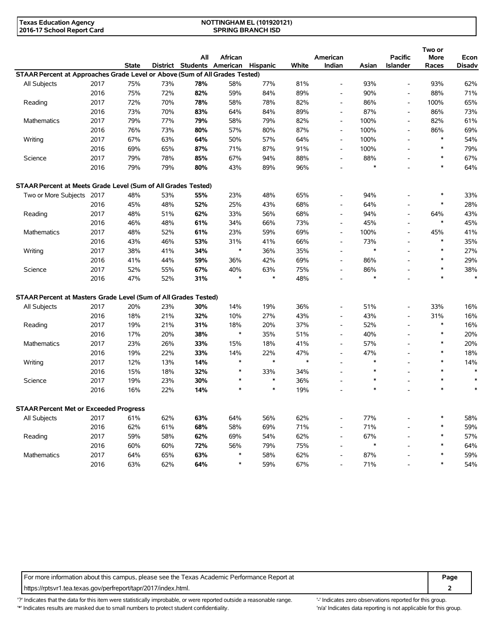| Texas Education Agency     | <b>NOTTINGHAM EL (101920121)</b> |  |
|----------------------------|----------------------------------|--|
| 2016-17 School Report Card | <b>SPRING BRANCH ISD</b>         |  |

|                                                                             |      |              |     |                            |         |               |        |                          |               |                          | Two or      |               |
|-----------------------------------------------------------------------------|------|--------------|-----|----------------------------|---------|---------------|--------|--------------------------|---------------|--------------------------|-------------|---------------|
|                                                                             |      |              |     | All                        | African |               |        | American                 |               | <b>Pacific</b>           | <b>More</b> | Econ          |
|                                                                             |      | <b>State</b> |     | District Students American |         | Hispanic      | White  | Indian                   | Asian         | <b>Islander</b>          | Races       | <b>Disadv</b> |
| STAAR Percent at Approaches Grade Level or Above (Sum of All Grades Tested) |      |              |     |                            |         |               |        |                          |               |                          |             |               |
| All Subjects                                                                | 2017 | 75%          | 73% | 78%                        | 58%     | 77%           | 81%    | $\overline{\phantom{a}}$ | 93%           | $\overline{\phantom{a}}$ | 93%         | 62%           |
|                                                                             | 2016 | 75%          | 72% | 82%                        | 59%     | 84%           | 89%    | $\overline{\phantom{a}}$ | 90%           | L,                       | 88%         | 71%           |
| Reading                                                                     | 2017 | 72%          | 70% | 78%                        | 58%     | 78%           | 82%    | $\overline{\phantom{a}}$ | 86%           | $\overline{\phantom{a}}$ | 100%        | 65%           |
|                                                                             | 2016 | 73%          | 70% | 83%                        | 64%     | 84%           | 89%    | $\overline{\phantom{a}}$ | 87%           | $\overline{\phantom{a}}$ | 86%         | 73%           |
| Mathematics                                                                 | 2017 | 79%          | 77% | 79%                        | 58%     | 79%           | 82%    | $\overline{\phantom{a}}$ | 100%          | $\overline{\phantom{a}}$ | 82%         | 61%           |
|                                                                             | 2016 | 76%          | 73% | 80%                        | 57%     | 80%           | 87%    | $\overline{\phantom{a}}$ | 100%          | $\overline{\phantom{a}}$ | 86%         | 69%           |
| Writing                                                                     | 2017 | 67%          | 63% | 64%                        | 50%     | 57%           | 64%    | $\overline{\phantom{a}}$ | 100%          | $\overline{\phantom{a}}$ | $\ast$      | 54%           |
|                                                                             | 2016 | 69%          | 65% | 87%                        | 71%     | 87%           | 91%    | $\overline{\phantom{a}}$ | 100%          | $\overline{\phantom{a}}$ | $\ast$      | 79%           |
| Science                                                                     | 2017 | 79%          | 78% | 85%                        | 67%     | 94%           | 88%    | $\overline{\phantom{a}}$ | 88%           |                          | $\ast$      | 67%           |
|                                                                             | 2016 | 79%          | 79% | 80%                        | 43%     | 89%           | 96%    |                          | $\ast$        |                          | $\ast$      | 64%           |
| STAAR Percent at Meets Grade Level (Sum of All Grades Tested)               |      |              |     |                            |         |               |        |                          |               |                          |             |               |
| Two or More Subjects 2017                                                   |      | 48%          | 53% | 55%                        | 23%     | 48%           | 65%    | $\overline{\phantom{a}}$ | 94%           | ۰                        | $\ast$      | 33%           |
|                                                                             | 2016 | 45%          | 48% | 52%                        | 25%     | 43%           | 68%    | $\overline{\phantom{a}}$ | 64%           | ۰                        | $\ast$      | 28%           |
| Reading                                                                     | 2017 | 48%          | 51% | 62%                        | 33%     | 56%           | 68%    | $\overline{\phantom{a}}$ | 94%           | $\overline{\phantom{a}}$ | 64%         | 43%           |
|                                                                             | 2016 | 46%          | 48% | 61%                        | 34%     | 66%           | 73%    | $\overline{\phantom{a}}$ | 45%           | $\overline{a}$           | $\ast$      | 45%           |
| <b>Mathematics</b>                                                          | 2017 | 48%          | 52% | 61%                        | 23%     | 59%           | 69%    | $\overline{\phantom{a}}$ | 100%          | $\overline{a}$           | 45%         | 41%           |
|                                                                             | 2016 | 43%          | 46% | 53%                        | 31%     | 41%           | 66%    | $\blacksquare$           | 73%           | L,                       | $\ast$      | 35%           |
| Writing                                                                     | 2017 | 38%          | 41% | 34%                        | $\ast$  | 36%           | 35%    | $\overline{\phantom{a}}$ | $\ast$        | $\overline{a}$           | $\ast$      | 27%           |
|                                                                             | 2016 | 41%          | 44% | 59%                        | 36%     | 42%           | 69%    |                          | 86%           | ۰                        | $\ast$      | 29%           |
|                                                                             |      |              |     |                            |         |               |        | $\overline{\phantom{a}}$ |               |                          | $\ast$      |               |
| Science                                                                     | 2017 | 52%          | 55% | 67%                        | 40%     | 63%<br>$\ast$ | 75%    | $\overline{\phantom{a}}$ | 86%<br>$\ast$ |                          | $\ast$      | 38%<br>$\ast$ |
|                                                                             | 2016 | 47%          | 52% | 31%                        |         |               | 48%    |                          |               |                          |             |               |
| STAAR Percent at Masters Grade Level (Sum of All Grades Tested)             |      |              |     |                            |         |               |        |                          |               |                          |             |               |
| All Subjects                                                                | 2017 | 20%          | 23% | 30%                        | 14%     | 19%           | 36%    | $\overline{\phantom{a}}$ | 51%           | $\overline{a}$           | 33%         | 16%           |
|                                                                             | 2016 | 18%          | 21% | 32%                        | 10%     | 27%           | 43%    | $\overline{\phantom{a}}$ | 43%           | $\overline{\phantom{a}}$ | 31%         | 16%           |
| Reading                                                                     | 2017 | 19%          | 21% | 31%                        | 18%     | 20%           | 37%    | $\overline{\phantom{a}}$ | 52%           | $\overline{\phantom{a}}$ | $\ast$      | 16%           |
|                                                                             | 2016 | 17%          | 20% | 38%                        | $\ast$  | 35%           | 51%    | $\overline{\phantom{a}}$ | 40%           | $\overline{a}$           | $\ast$      | 20%           |
| <b>Mathematics</b>                                                          | 2017 | 23%          | 26% | 33%                        | 15%     | 18%           | 41%    | $\blacksquare$           | 57%           | $\overline{a}$           | $\ast$      | 20%           |
|                                                                             | 2016 | 19%          | 22% | 33%                        | 14%     | 22%           | 47%    | $\blacksquare$           | 47%           | L,                       | $\ast$      | 18%           |
| Writing                                                                     | 2017 | 12%          | 13% | 14%                        | $\ast$  | $\ast$        | $\ast$ | $\blacksquare$           | $\ast$        |                          | $\ast$      | 14%           |
|                                                                             | 2016 | 15%          | 18% | 32%                        | $\ast$  | 33%           | 34%    | $\overline{\phantom{a}}$ | $\ast$        |                          | $\ast$      | $\ast$        |
|                                                                             |      |              |     |                            | $\ast$  | $\ast$        |        |                          | $\ast$        |                          | $\ast$      |               |
| Science                                                                     | 2017 | 19%          | 23% | 30%                        |         | $\ast$        | 36%    | $\blacksquare$           | $\ast$        |                          | $\ast$      | $\ast$        |
|                                                                             | 2016 | 16%          | 22% | 14%                        |         |               | 19%    |                          |               |                          |             |               |
| <b>STAAR Percent Met or Exceeded Progress</b>                               |      |              |     |                            |         |               |        |                          |               |                          |             |               |
| All Subjects                                                                | 2017 | 61%          | 62% | 63%                        | 64%     | 56%           | 62%    |                          | 77%           |                          |             | 58%           |
|                                                                             | 2016 | 62%          | 61% | 68%                        | 58%     | 69%           | 71%    | $\overline{\phantom{a}}$ | 71%           |                          | *           | 59%           |
| Reading                                                                     | 2017 | 59%          | 58% | 62%                        | 69%     | 54%           | 62%    | $\overline{\phantom{a}}$ | 67%           |                          | $\ast$      | 57%           |
|                                                                             | 2016 | 60%          | 60% | 72%                        | 56%     | 79%           | 75%    | $\blacksquare$           | $\ast$        |                          | $\ast$      | 64%           |
| Mathematics                                                                 | 2017 | 64%          | 65% | 63%                        | $\ast$  | 58%           | 62%    | $\overline{\phantom{a}}$ | 87%           |                          | $\ast$      | 59%           |
|                                                                             | 2016 | 63%          | 62% | 64%                        | $\ast$  | 59%           | 67%    |                          | 71%           |                          | $\ast$      | 54%           |

For more information about this campus, please see the Texas Academic Performance Report at **Page Page** https://rptsvr1.tea.texas.gov/perfreport/tapr/2017/index.html. **2**

'?' Indicates that the data for this item were statistically improbable, or were reported outside a reasonable range. '-' Indicates zero observations reported for this group. \*' Indicates results are masked due to small numbers to protect student confidentiality. Ma' Indicates data reporting is not applicable for this group.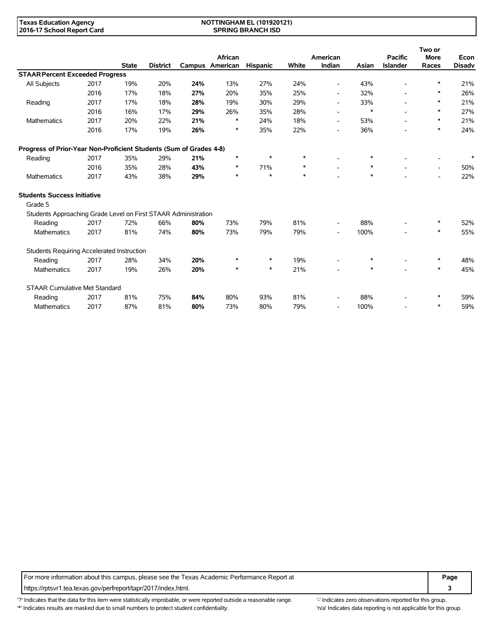#### **NOTTINGHAM EL (101920121) SPRING BRANCH ISD**

|                                                                    |      |              |                 |     |                            |          |        |                          |        |                                   | Two or                   |                       |
|--------------------------------------------------------------------|------|--------------|-----------------|-----|----------------------------|----------|--------|--------------------------|--------|-----------------------------------|--------------------------|-----------------------|
|                                                                    |      | <b>State</b> | <b>District</b> |     | African<br>Campus American | Hispanic | White  | American<br>Indian       | Asian  | <b>Pacific</b><br><b>Islander</b> | <b>More</b><br>Races     | Econ<br><b>Disadv</b> |
| <b>STAAR Percent Exceeded Progress</b>                             |      |              |                 |     |                            |          |        |                          |        |                                   |                          |                       |
| <b>All Subjects</b>                                                | 2017 | 19%          | 20%             | 24% | 13%                        | 27%      | 24%    | $\overline{\phantom{a}}$ | 43%    | $\overline{a}$                    | *                        | 21%                   |
|                                                                    | 2016 | 17%          | 18%             | 27% | 20%                        | 35%      | 25%    | $\overline{\phantom{a}}$ | 32%    | $\overline{\phantom{a}}$          | *                        | 26%                   |
| Reading                                                            | 2017 | 17%          | 18%             | 28% | 19%                        | 30%      | 29%    | $\overline{\phantom{a}}$ | 33%    | $\overline{\phantom{0}}$          | *                        | 21%                   |
|                                                                    | 2016 | 16%          | 17%             | 29% | 26%                        | 35%      | 28%    | $\overline{\phantom{0}}$ | $\ast$ | $\overline{\phantom{a}}$          | $\ast$                   | 27%                   |
| Mathematics                                                        | 2017 | 20%          | 22%             | 21% | ∗                          | 24%      | 18%    | $\overline{\phantom{a}}$ | 53%    | $\overline{a}$                    | *                        | 21%                   |
|                                                                    | 2016 | 17%          | 19%             | 26% | $\ast$                     | 35%      | 22%    | $\overline{\phantom{a}}$ | 36%    |                                   | $\ast$                   | 24%                   |
| Progress of Prior-Year Non-Proficient Students (Sum of Grades 4-8) |      |              |                 |     |                            |          |        |                          |        |                                   |                          |                       |
| Reading                                                            | 2017 | 35%          | 29%             | 21% | $\ast$                     | $\ast$   | $\ast$ |                          | $\ast$ |                                   | $\blacksquare$           | $\ast$                |
|                                                                    | 2016 | 35%          | 28%             | 43% | $\ast$                     | 71%      | $\ast$ | $\overline{\phantom{a}}$ | $\ast$ |                                   | $\overline{\phantom{a}}$ | 50%                   |
| Mathematics                                                        | 2017 | 43%          | 38%             | 29% | $\ast$                     | *        | $\ast$ |                          | $\ast$ |                                   |                          | 22%                   |
| <b>Students Success Initiative</b>                                 |      |              |                 |     |                            |          |        |                          |        |                                   |                          |                       |
| Grade 5                                                            |      |              |                 |     |                            |          |        |                          |        |                                   |                          |                       |
| Students Approaching Grade Level on First STAAR Administration     |      |              |                 |     |                            |          |        |                          |        |                                   |                          |                       |
| Reading                                                            | 2017 | 72%          | 66%             | 80% | 73%                        | 79%      | 81%    | $\overline{\phantom{a}}$ | 88%    |                                   | $\ast$                   | 52%                   |
| <b>Mathematics</b>                                                 | 2017 | 81%          | 74%             | 80% | 73%                        | 79%      | 79%    | $\overline{\phantom{a}}$ | 100%   | $\overline{a}$                    | $\ast$                   | 55%                   |
| Students Requiring Accelerated Instruction                         |      |              |                 |     |                            |          |        |                          |        |                                   |                          |                       |
| Reading                                                            | 2017 | 28%          | 34%             | 20% | ∗                          | $\ast$   | 19%    | $\overline{\phantom{0}}$ | *      |                                   | *                        | 48%                   |
| Mathematics                                                        | 2017 | 19%          | 26%             | 20% | $\ast$                     | $\ast$   | 21%    |                          | $\ast$ |                                   | $\ast$                   | 45%                   |
| <b>STAAR Cumulative Met Standard</b>                               |      |              |                 |     |                            |          |        |                          |        |                                   |                          |                       |
| Reading                                                            | 2017 | 81%          | 75%             | 84% | 80%                        | 93%      | 81%    | $\overline{\phantom{a}}$ | 88%    |                                   | *                        | 59%                   |
| <b>Mathematics</b>                                                 | 2017 | 87%          | 81%             | 80% | 73%                        | 80%      | 79%    | $\overline{\phantom{a}}$ | 100%   |                                   | *                        | 59%                   |

For more information about this campus, please see the Texas Academic Performance Report at **Page Page** https://rptsvr1.tea.texas.gov/perfreport/tapr/2017/index.html. **3**

'?' Indicates that the data for this item were statistically improbable, or were reported outside a reasonable range. '' Indicates zero observations reported for this group. '\*' Indicates results are masked due to small numbers to protect student confidentiality. Ma' Indicates data reporting is not applicable for this group.